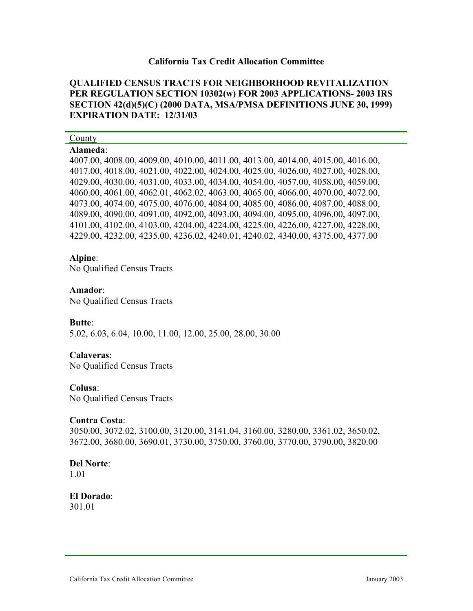#### **California Tax Credit Allocation Committee**

# **QUALIFIED CENSUS TRACTS FOR NEIGHBORHOOD REVITALIZATION PER REGULATION SECTION 10302(w) FOR 2003 APPLICATIONS- 2003 IRS SECTION 42(d)(5)(C) (2000 DATA, MSA/PMSA DEFINITIONS JUNE 30, 1999) EXPIRATION DATE: 12/31/03**

#### County

### **Alameda**:

4007.00, 4008.00, 4009.00, 4010.00, 4011.00, 4013.00, 4014.00, 4015.00, 4016.00, 4017.00, 4018.00, 4021.00, 4022.00, 4024.00, 4025.00, 4026.00, 4027.00, 4028.00, 4029.00, 4030.00, 4031.00, 4033.00, 4034.00, 4054.00, 4057.00, 4058.00, 4059.00, 4060.00, 4061.00, 4062.01, 4062.02, 4063.00, 4065.00, 4066.00, 4070.00, 4072.00, 4073.00, 4074.00, 4075.00, 4076.00, 4084.00, 4085.00, 4086.00, 4087.00, 4088.00, 4089.00, 4090.00, 4091.00, 4092.00, 4093.00, 4094.00, 4095.00, 4096.00, 4097.00, 4101.00, 4102.00, 4103.00, 4204.00, 4224.00, 4225.00, 4226.00, 4227.00, 4228.00, 4229.00, 4232.00, 4235.00, 4236.02, 4240.01, 4240.02, 4340.00, 4375.00, 4377.00

#### **Alpine**:

No Qualified Census Tracts

#### **Amador**:

No Qualified Census Tracts

#### **Butte**:

5.02, 6.03, 6.04, 10.00, 11.00, 12.00, 25.00, 28.00, 30.00

# **Calaveras**:

No Qualified Census Tracts

#### **Colusa**:

No Qualified Census Tracts

#### **Contra Costa**:

3050.00, 3072.02, 3100.00, 3120.00, 3141.04, 3160.00, 3280.00, 3361.02, 3650.02, 3672.00, 3680.00, 3690.01, 3730.00, 3750.00, 3760.00, 3770.00, 3790.00, 3820.00

# **Del Norte**:

1.01

# **El Dorado**:

301.01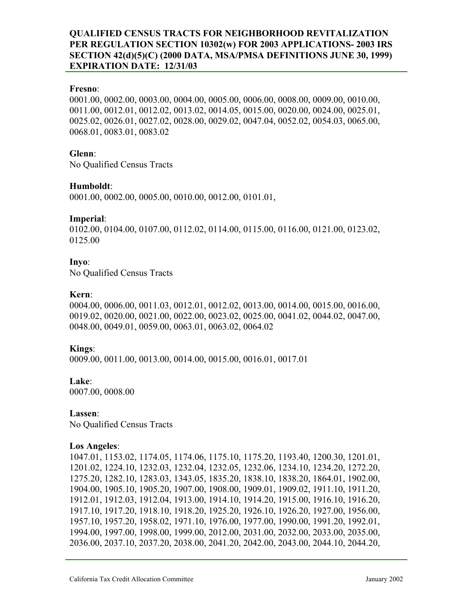### **Fresno**:

0001.00, 0002.00, 0003.00, 0004.00, 0005.00, 0006.00, 0008.00, 0009.00, 0010.00, 0011.00, 0012.01, 0012.02, 0013.02, 0014.05, 0015.00, 0020.00, 0024.00, 0025.01, 0025.02, 0026.01, 0027.02, 0028.00, 0029.02, 0047.04, 0052.02, 0054.03, 0065.00, 0068.01, 0083.01, 0083.02

#### **Glenn**:

No Qualified Census Tracts

### **Humboldt**:

0001.00, 0002.00, 0005.00, 0010.00, 0012.00, 0101.01,

### **Imperial**:

0102.00, 0104.00, 0107.00, 0112.02, 0114.00, 0115.00, 0116.00, 0121.00, 0123.02, 0125.00

### **Inyo**:

No Qualified Census Tracts

#### **Kern**:

0004.00, 0006.00, 0011.03, 0012.01, 0012.02, 0013.00, 0014.00, 0015.00, 0016.00, 0019.02, 0020.00, 0021.00, 0022.00, 0023.02, 0025.00, 0041.02, 0044.02, 0047.00, 0048.00, 0049.01, 0059.00, 0063.01, 0063.02, 0064.02

# **Kings**:

0009.00, 0011.00, 0013.00, 0014.00, 0015.00, 0016.01, 0017.01

# **Lake**:

0007.00, 0008.00

**Lassen**: No Qualified Census Tracts

# **Los Angeles**:

1047.01, 1153.02, 1174.05, 1174.06, 1175.10, 1175.20, 1193.40, 1200.30, 1201.01, 1201.02, 1224.10, 1232.03, 1232.04, 1232.05, 1232.06, 1234.10, 1234.20, 1272.20, 1275.20, 1282.10, 1283.03, 1343.05, 1835.20, 1838.10, 1838.20, 1864.01, 1902.00, 1904.00, 1905.10, 1905.20, 1907.00, 1908.00, 1909.01, 1909.02, 1911.10, 1911.20, 1912.01, 1912.03, 1912.04, 1913.00, 1914.10, 1914.20, 1915.00, 1916.10, 1916.20, 1917.10, 1917.20, 1918.10, 1918.20, 1925.20, 1926.10, 1926.20, 1927.00, 1956.00, 1957.10, 1957.20, 1958.02, 1971.10, 1976.00, 1977.00, 1990.00, 1991.20, 1992.01, 1994.00, 1997.00, 1998.00, 1999.00, 2012.00, 2031.00, 2032.00, 2033.00, 2035.00, 2036.00, 2037.10, 2037.20, 2038.00, 2041.20, 2042.00, 2043.00, 2044.10, 2044.20,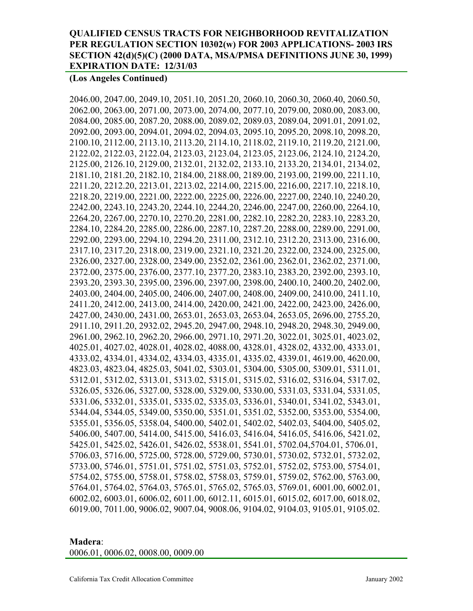### **(Los Angeles Continued)**

2046.00, 2047.00, 2049.10, 2051.10, 2051.20, 2060.10, 2060.30, 2060.40, 2060.50, 2062.00, 2063.00, 2071.00, 2073.00, 2074.00, 2077.10, 2079.00, 2080.00, 2083.00, 2084.00, 2085.00, 2087.20, 2088.00, 2089.02, 2089.03, 2089.04, 2091.01, 2091.02, 2092.00, 2093.00, 2094.01, 2094.02, 2094.03, 2095.10, 2095.20, 2098.10, 2098.20, 2100.10, 2112.00, 2113.10, 2113.20, 2114.10, 2118.02, 2119.10, 2119.20, 2121.00, 2122.02, 2122.03, 2122.04, 2123.03, 2123.04, 2123.05, 2123.06, 2124.10, 2124.20, 2125.00, 2126.10, 2129.00, 2132.01, 2132.02, 2133.10, 2133.20, 2134.01, 2134.02, 2181.10, 2181.20, 2182.10, 2184.00, 2188.00, 2189.00, 2193.00, 2199.00, 2211.10, 2211.20, 2212.20, 2213.01, 2213.02, 2214.00, 2215.00, 2216.00, 2217.10, 2218.10, 2218.20, 2219.00, 2221.00, 2222.00, 2225.00, 2226.00, 2227.00, 2240.10, 2240.20, 2242.00, 2243.10, 2243.20, 2244.10, 2244.20, 2246.00, 2247.00, 2260.00, 2264.10, 2264.20, 2267.00, 2270.10, 2270.20, 2281.00, 2282.10, 2282.20, 2283.10, 2283.20, 2284.10, 2284.20, 2285.00, 2286.00, 2287.10, 2287.20, 2288.00, 2289.00, 2291.00, 2292.00, 2293.00, 2294.10, 2294.20, 2311.00, 2312.10, 2312.20, 2313.00, 2316.00, 2317.10, 2317.20, 2318.00, 2319.00, 2321.10, 2321.20, 2322.00, 2324.00, 2325.00, 2326.00, 2327.00, 2328.00, 2349.00, 2352.02, 2361.00, 2362.01, 2362.02, 2371.00, 2372.00, 2375.00, 2376.00, 2377.10, 2377.20, 2383.10, 2383.20, 2392.00, 2393.10, 2393.20, 2393.30, 2395.00, 2396.00, 2397.00, 2398.00, 2400.10, 2400.20, 2402.00, 2403.00, 2404.00, 2405.00, 2406.00, 2407.00, 2408.00, 2409.00, 2410.00, 2411.10, 2411.20, 2412.00, 2413.00, 2414.00, 2420.00, 2421.00, 2422.00, 2423.00, 2426.00, 2427.00, 2430.00, 2431.00, 2653.01, 2653.03, 2653.04, 2653.05, 2696.00, 2755.20, 2911.10, 2911.20, 2932.02, 2945.20, 2947.00, 2948.10, 2948.20, 2948.30, 2949.00, 2961.00, 2962.10, 2962.20, 2966.00, 2971.10, 2971.20, 3022.01, 3025.01, 4023.02, 4025.01, 4027.02, 4028.01, 4028.02, 4088.00, 4328.01, 4328.02, 4332.00, 4333.01, 4333.02, 4334.01, 4334.02, 4334.03, 4335.01, 4335.02, 4339.01, 4619.00, 4620.00, 4823.03, 4823.04, 4825.03, 5041.02, 5303.01, 5304.00, 5305.00, 5309.01, 5311.01, 5312.01, 5312.02, 5313.01, 5313.02, 5315.01, 5315.02, 5316.02, 5316.04, 5317.02, 5326.05, 5326.06, 5327.00, 5328.00, 5329.00, 5330.00, 5331.03, 5331.04, 5331.05, 5331.06, 5332.01, 5335.01, 5335.02, 5335.03, 5336.01, 5340.01, 5341.02, 5343.01, 5344.04, 5344.05, 5349.00, 5350.00, 5351.01, 5351.02, 5352.00, 5353.00, 5354.00, 5355.01, 5356.05, 5358.04, 5400.00, 5402.01, 5402.02, 5402.03, 5404.00, 5405.02, 5406.00, 5407.00, 5414.00, 5415.00, 5416.03, 5416.04, 5416.05, 5416.06, 5421.02, 5425.01, 5425.02, 5426.01, 5426.02, 5538.01, 5541.01, 5702.04,5704.01, 5706.01, 5706.03, 5716.00, 5725.00, 5728.00, 5729.00, 5730.01, 5730.02, 5732.01, 5732.02, 5733.00, 5746.01, 5751.01, 5751.02, 5751.03, 5752.01, 5752.02, 5753.00, 5754.01, 5754.02, 5755.00, 5758.01, 5758.02, 5758.03, 5759.01, 5759.02, 5762.00, 5763.00, 5764.01, 5764.02, 5764.03, 5765.01, 5765.02, 5765.03, 5769.01, 6001.00, 6002.01, 6002.02, 6003.01, 6006.02, 6011.00, 6012.11, 6015.01, 6015.02, 6017.00, 6018.02, 6019.00, 7011.00, 9006.02, 9007.04, 9008.06, 9104.02, 9104.03, 9105.01, 9105.02.

**Madera**: 0006.01, 0006.02, 0008.00, 0009.00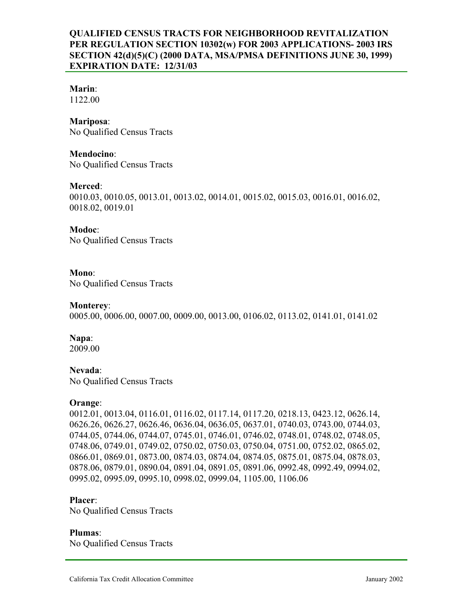# **Marin**:

1122.00

#### **Mariposa**:

No Qualified Census Tracts

**Mendocino**: No Qualified Census Tracts

### **Merced**:

0010.03, 0010.05, 0013.01, 0013.02, 0014.01, 0015.02, 0015.03, 0016.01, 0016.02, 0018.02, 0019.01

# **Modoc**:

No Qualified Census Tracts

### **Mono**:

No Qualified Census Tracts

### **Monterey**:

0005.00, 0006.00, 0007.00, 0009.00, 0013.00, 0106.02, 0113.02, 0141.01, 0141.02

# **Napa**:

2009.00

# **Nevada**:

No Qualified Census Tracts

# **Orange**:

0012.01, 0013.04, 0116.01, 0116.02, 0117.14, 0117.20, 0218.13, 0423.12, 0626.14, 0626.26, 0626.27, 0626.46, 0636.04, 0636.05, 0637.01, 0740.03, 0743.00, 0744.03, 0744.05, 0744.06, 0744.07, 0745.01, 0746.01, 0746.02, 0748.01, 0748.02, 0748.05, 0748.06, 0749.01, 0749.02, 0750.02, 0750.03, 0750.04, 0751.00, 0752.02, 0865.02, 0866.01, 0869.01, 0873.00, 0874.03, 0874.04, 0874.05, 0875.01, 0875.04, 0878.03, 0878.06, 0879.01, 0890.04, 0891.04, 0891.05, 0891.06, 0992.48, 0992.49, 0994.02, 0995.02, 0995.09, 0995.10, 0998.02, 0999.04, 1105.00, 1106.06

#### **Placer**:

No Qualified Census Tracts

#### **Plumas**:

No Qualified Census Tracts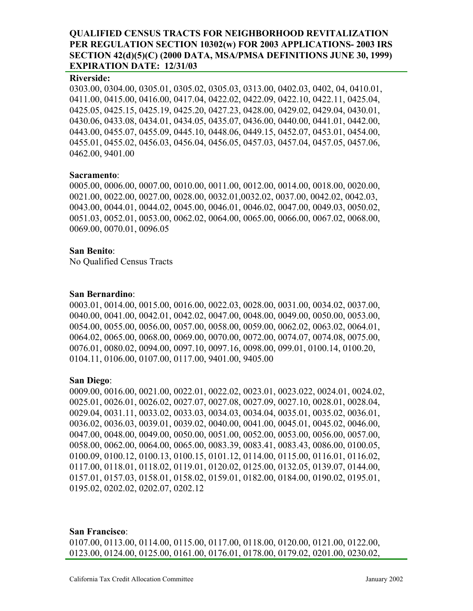#### **Riverside:**

0303.00, 0304.00, 0305.01, 0305.02, 0305.03, 0313.00, 0402.03, 0402, 04, 0410.01, 0411.00, 0415.00, 0416.00, 0417.04, 0422.02, 0422.09, 0422.10, 0422.11, 0425.04, 0425.05, 0425.15, 0425.19, 0425.20, 0427.23, 0428.00, 0429.02, 0429.04, 0430.01, 0430.06, 0433.08, 0434.01, 0434.05, 0435.07, 0436.00, 0440.00, 0441.01, 0442.00, 0443.00, 0455.07, 0455.09, 0445.10, 0448.06, 0449.15, 0452.07, 0453.01, 0454.00, 0455.01, 0455.02, 0456.03, 0456.04, 0456.05, 0457.03, 0457.04, 0457.05, 0457.06, 0462.00, 9401.00

### **Sacramento**:

0005.00, 0006.00, 0007.00, 0010.00, 0011.00, 0012.00, 0014.00, 0018.00, 0020.00, 0021.00, 0022.00, 0027.00, 0028.00, 0032.01,0032.02, 0037.00, 0042.02, 0042.03, 0043.00, 0044.01, 0044.02, 0045.00, 0046.01, 0046.02, 0047.00, 0049.03, 0050.02, 0051.03, 0052.01, 0053.00, 0062.02, 0064.00, 0065.00, 0066.00, 0067.02, 0068.00, 0069.00, 0070.01, 0096.05

### **San Benito**:

No Qualified Census Tracts

### **San Bernardino**:

0003.01, 0014.00, 0015.00, 0016.00, 0022.03, 0028.00, 0031.00, 0034.02, 0037.00, 0040.00, 0041.00, 0042.01, 0042.02, 0047.00, 0048.00, 0049.00, 0050.00, 0053.00, 0054.00, 0055.00, 0056.00, 0057.00, 0058.00, 0059.00, 0062.02, 0063.02, 0064.01, 0064.02, 0065.00, 0068.00, 0069.00, 0070.00, 0072.00, 0074.07, 0074.08, 0075.00, 0076.01, 0080.02, 0094.00, 0097.10, 0097.16, 0098.00, 099.01, 0100.14, 0100.20, 0104.11, 0106.00, 0107.00, 0117.00, 9401.00, 9405.00

# **San Diego**:

0009.00, 0016.00, 0021.00, 0022.01, 0022.02, 0023.01, 0023.022, 0024.01, 0024.02, 0025.01, 0026.01, 0026.02, 0027.07, 0027.08, 0027.09, 0027.10, 0028.01, 0028.04, 0029.04, 0031.11, 0033.02, 0033.03, 0034.03, 0034.04, 0035.01, 0035.02, 0036.01, 0036.02, 0036.03, 0039.01, 0039.02, 0040.00, 0041.00, 0045.01, 0045.02, 0046.00, 0047.00, 0048.00, 0049.00, 0050.00, 0051.00, 0052.00, 0053.00, 0056.00, 0057.00, 0058.00, 0062.00, 0064.00, 0065.00, 0083.39, 0083.41, 0083.43, 0086.00, 0100.05, 0100.09, 0100.12, 0100.13, 0100.15, 0101.12, 0114.00, 0115.00, 0116.01, 0116.02, 0117.00, 0118.01, 0118.02, 0119.01, 0120.02, 0125.00, 0132.05, 0139.07, 0144.00, 0157.01, 0157.03, 0158.01, 0158.02, 0159.01, 0182.00, 0184.00, 0190.02, 0195.01, 0195.02, 0202.02, 0202.07, 0202.12

#### **San Francisco**:

0107.00, 0113.00, 0114.00, 0115.00, 0117.00, 0118.00, 0120.00, 0121.00, 0122.00, 0123.00, 0124.00, 0125.00, 0161.00, 0176.01, 0178.00, 0179.02, 0201.00, 0230.02,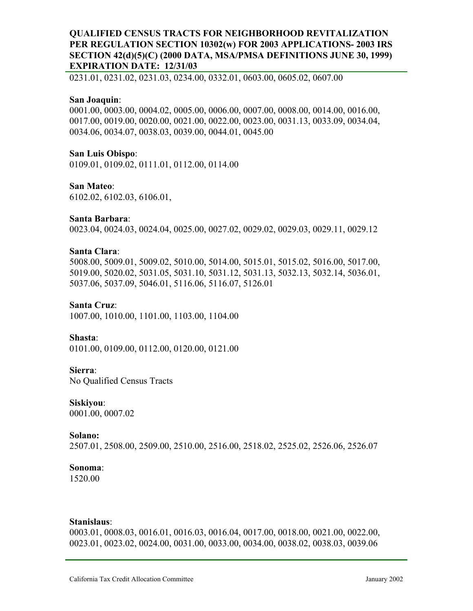0231.01, 0231.02, 0231.03, 0234.00, 0332.01, 0603.00, 0605.02, 0607.00

#### **San Joaquin**:

0001.00, 0003.00, 0004.02, 0005.00, 0006.00, 0007.00, 0008.00, 0014.00, 0016.00, 0017.00, 0019.00, 0020.00, 0021.00, 0022.00, 0023.00, 0031.13, 0033.09, 0034.04, 0034.06, 0034.07, 0038.03, 0039.00, 0044.01, 0045.00

#### **San Luis Obispo**:

0109.01, 0109.02, 0111.01, 0112.00, 0114.00

#### **San Mateo**:

6102.02, 6102.03, 6106.01,

# **Santa Barbara**:

0023.04, 0024.03, 0024.04, 0025.00, 0027.02, 0029.02, 0029.03, 0029.11, 0029.12

### **Santa Clara**:

5008.00, 5009.01, 5009.02, 5010.00, 5014.00, 5015.01, 5015.02, 5016.00, 5017.00, 5019.00, 5020.02, 5031.05, 5031.10, 5031.12, 5031.13, 5032.13, 5032.14, 5036.01, 5037.06, 5037.09, 5046.01, 5116.06, 5116.07, 5126.01

#### **Santa Cruz**:

1007.00, 1010.00, 1101.00, 1103.00, 1104.00

#### **Shasta**:

0101.00, 0109.00, 0112.00, 0120.00, 0121.00

#### **Sierra**:

No Qualified Census Tracts

#### **Siskiyou**:

0001.00, 0007.02

#### **Solano:**

2507.01, 2508.00, 2509.00, 2510.00, 2516.00, 2518.02, 2525.02, 2526.06, 2526.07

#### **Sonoma**:

1520.00

#### **Stanislaus**:

0003.01, 0008.03, 0016.01, 0016.03, 0016.04, 0017.00, 0018.00, 0021.00, 0022.00, 0023.01, 0023.02, 0024.00, 0031.00, 0033.00, 0034.00, 0038.02, 0038.03, 0039.06